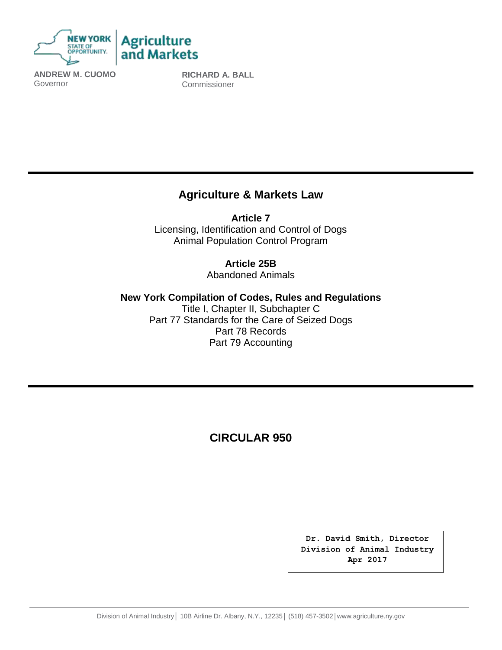

**ANDREW M. CUOMO** Governor

**RICHARD A. BALL**  Commissioner

# **Agriculture & Markets Law**

**Article 7** Licensing, Identification and Control of Dogs Animal Population Control Program

# **Article 25B**

Abandoned Animals

#### **New York Compilation of Codes, Rules and Regulations** Title I, Chapter II, Subchapter C Part 77 Standards for the Care of Seized Dogs Part 78 Records Part 79 Accounting

# **CIRCULAR 950**

**Dr. David Smith, Director Division of Animal Industry Apr 2017**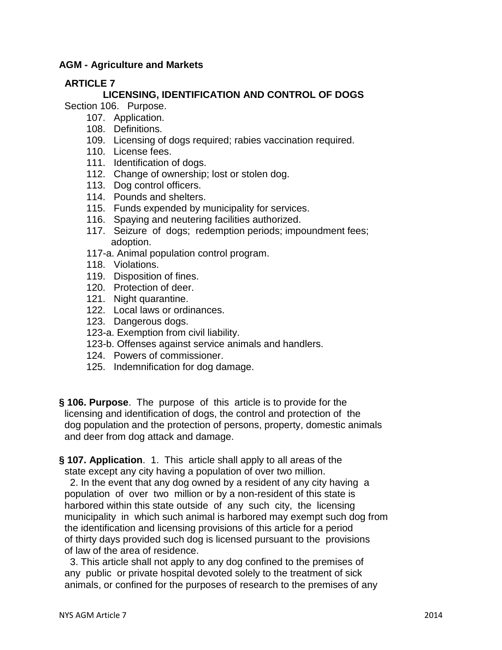#### **AGM - Agriculture and Markets**

#### **ARTICLE 7**

## **LICENSING, IDENTIFICATION AND CONTROL OF DOGS**

Section 106. Purpose.

- 107. Application.
- 108. Definitions.
- 109. Licensing of dogs required; rabies vaccination required.
- 110. License fees.
- 111. Identification of dogs.
- 112. Change of ownership; lost or stolen dog.
- 113. Dog control officers.
- 114. Pounds and shelters.
- 115. Funds expended by municipality for services.
- 116. Spaying and neutering facilities authorized.
- 117. Seizure of dogs; redemption periods; impoundment fees; adoption.
- 117-a. Animal population control program.
- 118. Violations.
- 119. Disposition of fines.
- 120. Protection of deer.
- 121. Night quarantine.
- 122. Local laws or ordinances.
- 123. Dangerous dogs.
- 123-a. Exemption from civil liability.
- 123-b. Offenses against service animals and handlers.
- 124. Powers of commissioner.
- 125. Indemnification for dog damage.
- **§ 106. Purpose**. The purpose of this article is to provide for the licensing and identification of dogs, the control and protection of the dog population and the protection of persons, property, domestic animals and deer from dog attack and damage.

**§ 107. Application**. 1. This article shall apply to all areas of the state except any city having a population of over two million.

 2. In the event that any dog owned by a resident of any city having a population of over two million or by a non-resident of this state is harbored within this state outside of any such city, the licensing municipality in which such animal is harbored may exempt such dog from the identification and licensing provisions of this article for a period of thirty days provided such dog is licensed pursuant to the provisions of law of the area of residence.

 3. This article shall not apply to any dog confined to the premises of any public or private hospital devoted solely to the treatment of sick animals, or confined for the purposes of research to the premises of any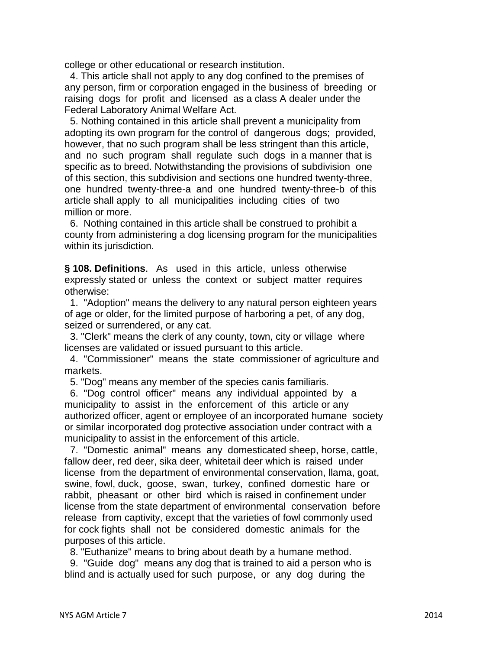college or other educational or research institution.

 4. This article shall not apply to any dog confined to the premises of any person, firm or corporation engaged in the business of breeding or raising dogs for profit and licensed as a class A dealer under the Federal Laboratory Animal Welfare Act.

 5. Nothing contained in this article shall prevent a municipality from adopting its own program for the control of dangerous dogs; provided, however, that no such program shall be less stringent than this article, and no such program shall regulate such dogs in a manner that is specific as to breed. Notwithstanding the provisions of subdivision one of this section, this subdivision and sections one hundred twenty-three, one hundred twenty-three-a and one hundred twenty-three-b of this article shall apply to all municipalities including cities of two million or more.

 6. Nothing contained in this article shall be construed to prohibit a county from administering a dog licensing program for the municipalities within its jurisdiction.

 **§ 108. Definitions**. As used in this article, unless otherwise expressly stated or unless the context or subject matter requires otherwise:

 1. "Adoption" means the delivery to any natural person eighteen years of age or older, for the limited purpose of harboring a pet, of any dog, seized or surrendered, or any cat.

 3. "Clerk" means the clerk of any county, town, city or village where licenses are validated or issued pursuant to this article.

 4. "Commissioner" means the state commissioner of agriculture and markets.

5. "Dog" means any member of the species canis familiaris.

 6. "Dog control officer" means any individual appointed by a municipality to assist in the enforcement of this article or any authorized officer, agent or employee of an incorporated humane society or similar incorporated dog protective association under contract with a municipality to assist in the enforcement of this article.

 7. "Domestic animal" means any domesticated sheep, horse, cattle, fallow deer, red deer, sika deer, whitetail deer which is raised under license from the department of environmental conservation, llama, goat, swine, fowl, duck, goose, swan, turkey, confined domestic hare or rabbit, pheasant or other bird which is raised in confinement under license from the state department of environmental conservation before release from captivity, except that the varieties of fowl commonly used for cock fights shall not be considered domestic animals for the purposes of this article.

8. "Euthanize" means to bring about death by a humane method.

 9. "Guide dog" means any dog that is trained to aid a person who is blind and is actually used for such purpose, or any dog during the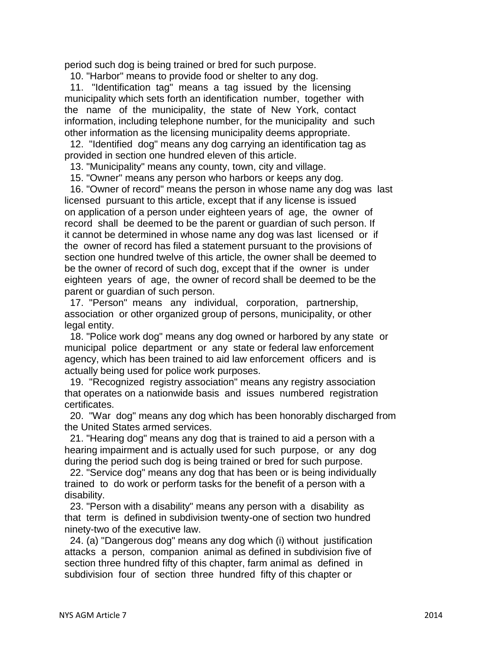period such dog is being trained or bred for such purpose.

10. "Harbor" means to provide food or shelter to any dog.

 11. "Identification tag" means a tag issued by the licensing municipality which sets forth an identification number, together with the name of the municipality, the state of New York, contact information, including telephone number, for the municipality and such other information as the licensing municipality deems appropriate.

 12. "Identified dog" means any dog carrying an identification tag as provided in section one hundred eleven of this article.

13. "Municipality" means any county, town, city and village.

15. "Owner" means any person who harbors or keeps any dog.

 16. "Owner of record" means the person in whose name any dog was last licensed pursuant to this article, except that if any license is issued on application of a person under eighteen years of age, the owner of record shall be deemed to be the parent or guardian of such person. If it cannot be determined in whose name any dog was last licensed or if the owner of record has filed a statement pursuant to the provisions of section one hundred twelve of this article, the owner shall be deemed to be the owner of record of such dog, except that if the owner is under eighteen years of age, the owner of record shall be deemed to be the parent or guardian of such person.

 17. "Person" means any individual, corporation, partnership, association or other organized group of persons, municipality, or other legal entity.

 18. "Police work dog" means any dog owned or harbored by any state or municipal police department or any state or federal law enforcement agency, which has been trained to aid law enforcement officers and is actually being used for police work purposes.

 19. "Recognized registry association" means any registry association that operates on a nationwide basis and issues numbered registration certificates.

 20. "War dog" means any dog which has been honorably discharged from the United States armed services.

 21. "Hearing dog" means any dog that is trained to aid a person with a hearing impairment and is actually used for such purpose, or any dog during the period such dog is being trained or bred for such purpose.

 22. "Service dog" means any dog that has been or is being individually trained to do work or perform tasks for the benefit of a person with a disability.

 23. "Person with a disability" means any person with a disability as that term is defined in subdivision twenty-one of section two hundred ninety-two of the executive law.

 24. (a) "Dangerous dog" means any dog which (i) without justification attacks a person, companion animal as defined in subdivision five of section three hundred fifty of this chapter, farm animal as defined in subdivision four of section three hundred fifty of this chapter or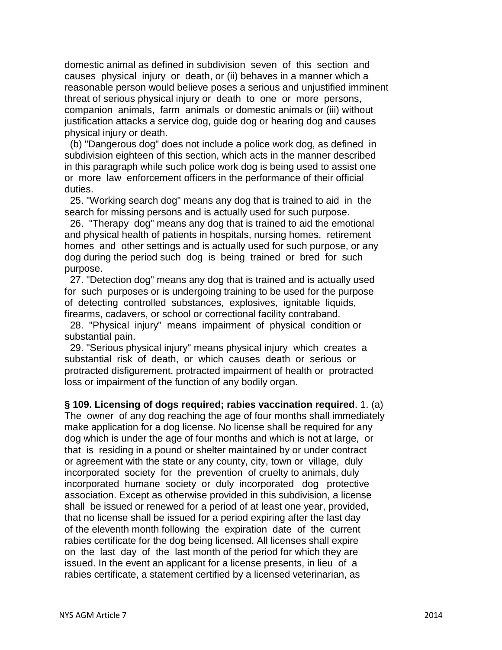domestic animal as defined in subdivision seven of this section and causes physical injury or death, or (ii) behaves in a manner which a reasonable person would believe poses a serious and unjustified imminent threat of serious physical injury or death to one or more persons, companion animals, farm animals or domestic animals or (iii) without justification attacks a service dog, guide dog or hearing dog and causes physical injury or death.

 (b) "Dangerous dog" does not include a police work dog, as defined in subdivision eighteen of this section, which acts in the manner described in this paragraph while such police work dog is being used to assist one or more law enforcement officers in the performance of their official duties.

 25. "Working search dog" means any dog that is trained to aid in the search for missing persons and is actually used for such purpose.

 26. "Therapy dog" means any dog that is trained to aid the emotional and physical health of patients in hospitals, nursing homes, retirement homes and other settings and is actually used for such purpose, or any dog during the period such dog is being trained or bred for such purpose.

 27. "Detection dog" means any dog that is trained and is actually used for such purposes or is undergoing training to be used for the purpose of detecting controlled substances, explosives, ignitable liquids, firearms, cadavers, or school or correctional facility contraband.

 28. "Physical injury" means impairment of physical condition or substantial pain.

 29. "Serious physical injury" means physical injury which creates a substantial risk of death, or which causes death or serious or protracted disfigurement, protracted impairment of health or protracted loss or impairment of the function of any bodily organ.

 **§ 109. Licensing of dogs required; rabies vaccination required**. 1. (a) The owner of any dog reaching the age of four months shall immediately make application for a dog license. No license shall be required for any dog which is under the age of four months and which is not at large, or that is residing in a pound or shelter maintained by or under contract or agreement with the state or any county, city, town or village, duly incorporated society for the prevention of cruelty to animals, duly incorporated humane society or duly incorporated dog protective association. Except as otherwise provided in this subdivision, a license shall be issued or renewed for a period of at least one year, provided, that no license shall be issued for a period expiring after the last day of the eleventh month following the expiration date of the current rabies certificate for the dog being licensed. All licenses shall expire on the last day of the last month of the period for which they are issued. In the event an applicant for a license presents, in lieu of a rabies certificate, a statement certified by a licensed veterinarian, as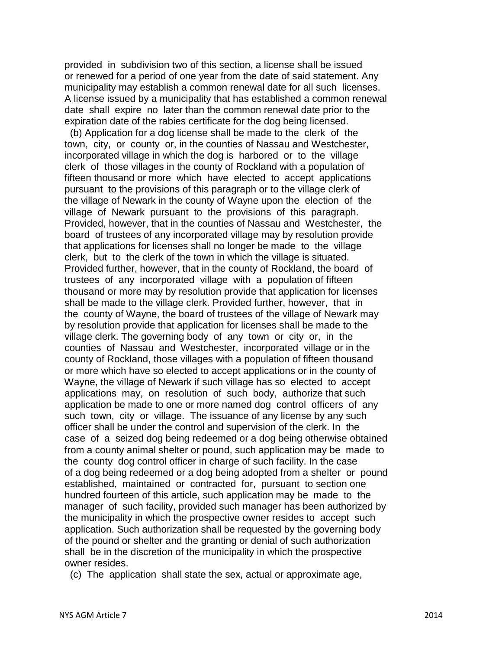provided in subdivision two of this section, a license shall be issued or renewed for a period of one year from the date of said statement. Any municipality may establish a common renewal date for all such licenses. A license issued by a municipality that has established a common renewal date shall expire no later than the common renewal date prior to the expiration date of the rabies certificate for the dog being licensed.

 (b) Application for a dog license shall be made to the clerk of the town, city, or county or, in the counties of Nassau and Westchester, incorporated village in which the dog is harbored or to the village clerk of those villages in the county of Rockland with a population of fifteen thousand or more which have elected to accept applications pursuant to the provisions of this paragraph or to the village clerk of the village of Newark in the county of Wayne upon the election of the village of Newark pursuant to the provisions of this paragraph. Provided, however, that in the counties of Nassau and Westchester, the board of trustees of any incorporated village may by resolution provide that applications for licenses shall no longer be made to the village clerk, but to the clerk of the town in which the village is situated. Provided further, however, that in the county of Rockland, the board of trustees of any incorporated village with a population of fifteen thousand or more may by resolution provide that application for licenses shall be made to the village clerk. Provided further, however, that in the county of Wayne, the board of trustees of the village of Newark may by resolution provide that application for licenses shall be made to the village clerk. The governing body of any town or city or, in the counties of Nassau and Westchester, incorporated village or in the county of Rockland, those villages with a population of fifteen thousand or more which have so elected to accept applications or in the county of Wayne, the village of Newark if such village has so elected to accept applications may, on resolution of such body, authorize that such application be made to one or more named dog control officers of any such town, city or village. The issuance of any license by any such officer shall be under the control and supervision of the clerk. In the case of a seized dog being redeemed or a dog being otherwise obtained from a county animal shelter or pound, such application may be made to the county dog control officer in charge of such facility. In the case of a dog being redeemed or a dog being adopted from a shelter or pound established, maintained or contracted for, pursuant to section one hundred fourteen of this article, such application may be made to the manager of such facility, provided such manager has been authorized by the municipality in which the prospective owner resides to accept such application. Such authorization shall be requested by the governing body of the pound or shelter and the granting or denial of such authorization shall be in the discretion of the municipality in which the prospective owner resides.

(c) The application shall state the sex, actual or approximate age,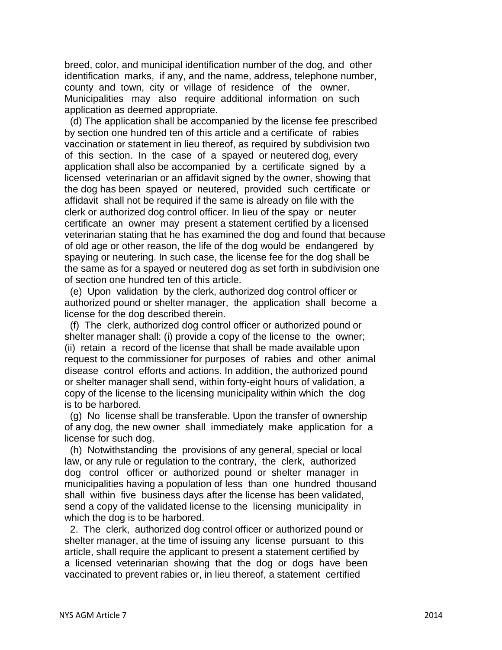breed, color, and municipal identification number of the dog, and other identification marks, if any, and the name, address, telephone number, county and town, city or village of residence of the owner. Municipalities may also require additional information on such application as deemed appropriate.

 (d) The application shall be accompanied by the license fee prescribed by section one hundred ten of this article and a certificate of rabies vaccination or statement in lieu thereof, as required by subdivision two of this section. In the case of a spayed or neutered dog, every application shall also be accompanied by a certificate signed by a licensed veterinarian or an affidavit signed by the owner, showing that the dog has been spayed or neutered, provided such certificate or affidavit shall not be required if the same is already on file with the clerk or authorized dog control officer. In lieu of the spay or neuter certificate an owner may present a statement certified by a licensed veterinarian stating that he has examined the dog and found that because of old age or other reason, the life of the dog would be endangered by spaying or neutering. In such case, the license fee for the dog shall be the same as for a spayed or neutered dog as set forth in subdivision one of section one hundred ten of this article.

 (e) Upon validation by the clerk, authorized dog control officer or authorized pound or shelter manager, the application shall become a license for the dog described therein.

 (f) The clerk, authorized dog control officer or authorized pound or shelter manager shall: (i) provide a copy of the license to the owner; (ii) retain a record of the license that shall be made available upon request to the commissioner for purposes of rabies and other animal disease control efforts and actions. In addition, the authorized pound or shelter manager shall send, within forty-eight hours of validation, a copy of the license to the licensing municipality within which the dog is to be harbored.

 (g) No license shall be transferable. Upon the transfer of ownership of any dog, the new owner shall immediately make application for a license for such dog.

 (h) Notwithstanding the provisions of any general, special or local law, or any rule or regulation to the contrary, the clerk, authorized dog control officer or authorized pound or shelter manager in municipalities having a population of less than one hundred thousand shall within five business days after the license has been validated, send a copy of the validated license to the licensing municipality in which the dog is to be harbored.

 2. The clerk, authorized dog control officer or authorized pound or shelter manager, at the time of issuing any license pursuant to this article, shall require the applicant to present a statement certified by a licensed veterinarian showing that the dog or dogs have been vaccinated to prevent rabies or, in lieu thereof, a statement certified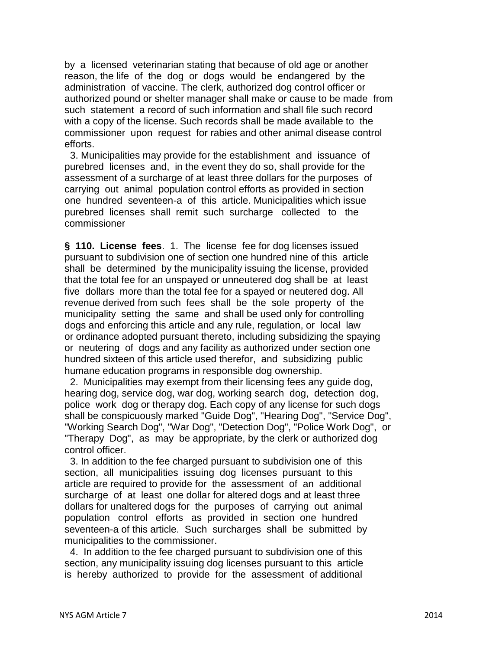by a licensed veterinarian stating that because of old age or another reason, the life of the dog or dogs would be endangered by the administration of vaccine. The clerk, authorized dog control officer or authorized pound or shelter manager shall make or cause to be made from such statement a record of such information and shall file such record with a copy of the license. Such records shall be made available to the commissioner upon request for rabies and other animal disease control efforts.

 3. Municipalities may provide for the establishment and issuance of purebred licenses and, in the event they do so, shall provide for the assessment of a surcharge of at least three dollars for the purposes of carrying out animal population control efforts as provided in section one hundred seventeen-a of this article. Municipalities which issue purebred licenses shall remit such surcharge collected to the commissioner

 **§ 110. License fees**. 1. The license fee for dog licenses issued pursuant to subdivision one of section one hundred nine of this article shall be determined by the municipality issuing the license, provided that the total fee for an unspayed or unneutered dog shall be at least five dollars more than the total fee for a spayed or neutered dog. All revenue derived from such fees shall be the sole property of the municipality setting the same and shall be used only for controlling dogs and enforcing this article and any rule, regulation, or local law or ordinance adopted pursuant thereto, including subsidizing the spaying or neutering of dogs and any facility as authorized under section one hundred sixteen of this article used therefor, and subsidizing public humane education programs in responsible dog ownership.

 2. Municipalities may exempt from their licensing fees any guide dog, hearing dog, service dog, war dog, working search dog, detection dog, police work dog or therapy dog. Each copy of any license for such dogs shall be conspicuously marked "Guide Dog", "Hearing Dog", "Service Dog", "Working Search Dog", "War Dog", "Detection Dog", "Police Work Dog", or "Therapy Dog", as may be appropriate, by the clerk or authorized dog control officer.

 3. In addition to the fee charged pursuant to subdivision one of this section, all municipalities issuing dog licenses pursuant to this article are required to provide for the assessment of an additional surcharge of at least one dollar for altered dogs and at least three dollars for unaltered dogs for the purposes of carrying out animal population control efforts as provided in section one hundred seventeen-a of this article. Such surcharges shall be submitted by municipalities to the commissioner.

 4. In addition to the fee charged pursuant to subdivision one of this section, any municipality issuing dog licenses pursuant to this article is hereby authorized to provide for the assessment of additional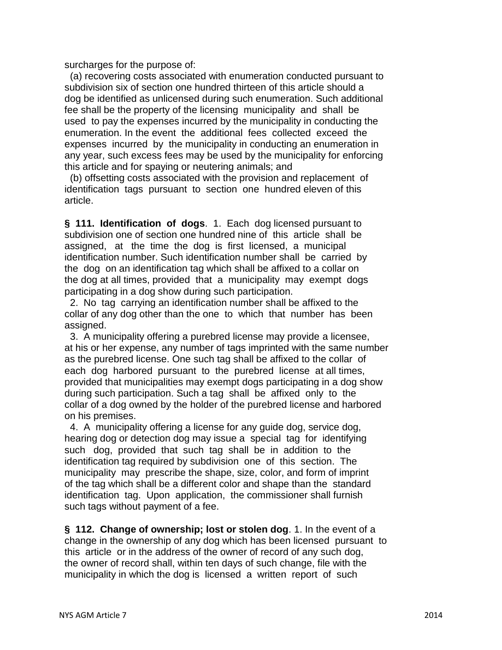surcharges for the purpose of:

 (a) recovering costs associated with enumeration conducted pursuant to subdivision six of section one hundred thirteen of this article should a dog be identified as unlicensed during such enumeration. Such additional fee shall be the property of the licensing municipality and shall be used to pay the expenses incurred by the municipality in conducting the enumeration. In the event the additional fees collected exceed the expenses incurred by the municipality in conducting an enumeration in any year, such excess fees may be used by the municipality for enforcing this article and for spaying or neutering animals; and

 (b) offsetting costs associated with the provision and replacement of identification tags pursuant to section one hundred eleven of this article.

 **§ 111. Identification of dogs**. 1. Each dog licensed pursuant to subdivision one of section one hundred nine of this article shall be assigned, at the time the dog is first licensed, a municipal identification number. Such identification number shall be carried by the dog on an identification tag which shall be affixed to a collar on the dog at all times, provided that a municipality may exempt dogs participating in a dog show during such participation.

 2. No tag carrying an identification number shall be affixed to the collar of any dog other than the one to which that number has been assigned.

 3. A municipality offering a purebred license may provide a licensee, at his or her expense, any number of tags imprinted with the same number as the purebred license. One such tag shall be affixed to the collar of each dog harbored pursuant to the purebred license at all times, provided that municipalities may exempt dogs participating in a dog show during such participation. Such a tag shall be affixed only to the collar of a dog owned by the holder of the purebred license and harbored on his premises.

 4. A municipality offering a license for any guide dog, service dog, hearing dog or detection dog may issue a special tag for identifying such dog, provided that such tag shall be in addition to the identification tag required by subdivision one of this section. The municipality may prescribe the shape, size, color, and form of imprint of the tag which shall be a different color and shape than the standard identification tag. Upon application, the commissioner shall furnish such tags without payment of a fee.

 **§ 112. Change of ownership; lost or stolen dog**. 1. In the event of a change in the ownership of any dog which has been licensed pursuant to this article or in the address of the owner of record of any such dog, the owner of record shall, within ten days of such change, file with the municipality in which the dog is licensed a written report of such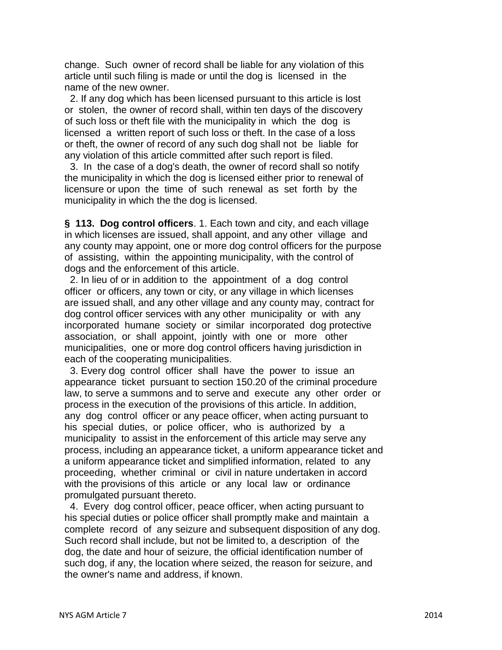change. Such owner of record shall be liable for any violation of this article until such filing is made or until the dog is licensed in the name of the new owner.

 2. If any dog which has been licensed pursuant to this article is lost or stolen, the owner of record shall, within ten days of the discovery of such loss or theft file with the municipality in which the dog is licensed a written report of such loss or theft. In the case of a loss or theft, the owner of record of any such dog shall not be liable for any violation of this article committed after such report is filed.

 3. In the case of a dog's death, the owner of record shall so notify the municipality in which the dog is licensed either prior to renewal of licensure or upon the time of such renewal as set forth by the municipality in which the the dog is licensed.

 **§ 113. Dog control officers**. 1. Each town and city, and each village in which licenses are issued, shall appoint, and any other village and any county may appoint, one or more dog control officers for the purpose of assisting, within the appointing municipality, with the control of dogs and the enforcement of this article.

 2. In lieu of or in addition to the appointment of a dog control officer or officers, any town or city, or any village in which licenses are issued shall, and any other village and any county may, contract for dog control officer services with any other municipality or with any incorporated humane society or similar incorporated dog protective association, or shall appoint, jointly with one or more other municipalities, one or more dog control officers having jurisdiction in each of the cooperating municipalities.

 3. Every dog control officer shall have the power to issue an appearance ticket pursuant to section 150.20 of the criminal procedure law, to serve a summons and to serve and execute any other order or process in the execution of the provisions of this article. In addition, any dog control officer or any peace officer, when acting pursuant to his special duties, or police officer, who is authorized by a municipality to assist in the enforcement of this article may serve any process, including an appearance ticket, a uniform appearance ticket and a uniform appearance ticket and simplified information, related to any proceeding, whether criminal or civil in nature undertaken in accord with the provisions of this article or any local law or ordinance promulgated pursuant thereto.

 4. Every dog control officer, peace officer, when acting pursuant to his special duties or police officer shall promptly make and maintain a complete record of any seizure and subsequent disposition of any dog. Such record shall include, but not be limited to, a description of the dog, the date and hour of seizure, the official identification number of such dog, if any, the location where seized, the reason for seizure, and the owner's name and address, if known.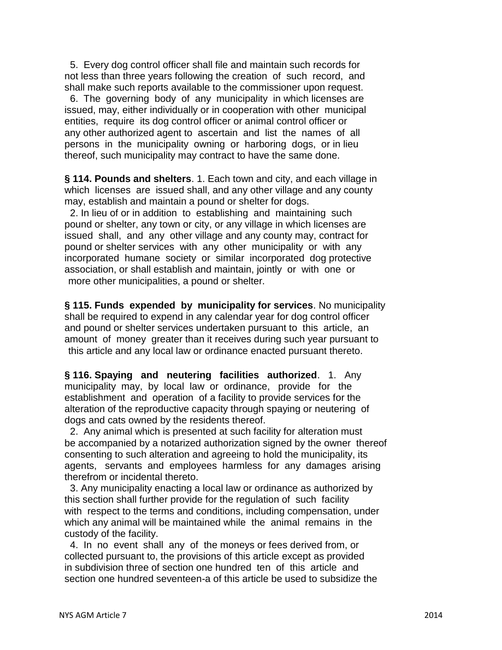5. Every dog control officer shall file and maintain such records for not less than three years following the creation of such record, and shall make such reports available to the commissioner upon request.

 6. The governing body of any municipality in which licenses are issued, may, either individually or in cooperation with other municipal entities, require its dog control officer or animal control officer or any other authorized agent to ascertain and list the names of all persons in the municipality owning or harboring dogs, or in lieu thereof, such municipality may contract to have the same done.

**§ 114. Pounds and shelters**. 1. Each town and city, and each village in which licenses are issued shall, and any other village and any county may, establish and maintain a pound or shelter for dogs.

 2. In lieu of or in addition to establishing and maintaining such pound or shelter, any town or city, or any village in which licenses are issued shall, and any other village and any county may, contract for pound or shelter services with any other municipality or with any incorporated humane society or similar incorporated dog protective association, or shall establish and maintain, jointly or with one or more other municipalities, a pound or shelter.

 **§ 115. Funds expended by municipality for services**. No municipality shall be required to expend in any calendar year for dog control officer and pound or shelter services undertaken pursuant to this article, an amount of money greater than it receives during such year pursuant to this article and any local law or ordinance enacted pursuant thereto.

 **§ 116. Spaying and neutering facilities authorized**. 1. Any municipality may, by local law or ordinance, provide for the establishment and operation of a facility to provide services for the alteration of the reproductive capacity through spaying or neutering of dogs and cats owned by the residents thereof.

 2. Any animal which is presented at such facility for alteration must be accompanied by a notarized authorization signed by the owner thereof consenting to such alteration and agreeing to hold the municipality, its agents, servants and employees harmless for any damages arising therefrom or incidental thereto.

 3. Any municipality enacting a local law or ordinance as authorized by this section shall further provide for the regulation of such facility with respect to the terms and conditions, including compensation, under which any animal will be maintained while the animal remains in the custody of the facility.

 4. In no event shall any of the moneys or fees derived from, or collected pursuant to, the provisions of this article except as provided in subdivision three of section one hundred ten of this article and section one hundred seventeen-a of this article be used to subsidize the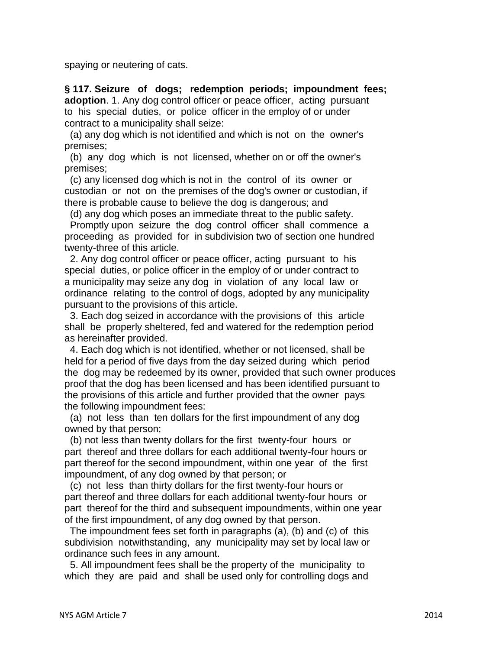spaying or neutering of cats.

 **§ 117. Seizure of dogs; redemption periods; impoundment fees; adoption**. 1. Any dog control officer or peace officer, acting pursuant to his special duties, or police officer in the employ of or under contract to a municipality shall seize:

 (a) any dog which is not identified and which is not on the owner's premises;

 (b) any dog which is not licensed, whether on or off the owner's premises;

 (c) any licensed dog which is not in the control of its owner or custodian or not on the premises of the dog's owner or custodian, if there is probable cause to believe the dog is dangerous; and

 (d) any dog which poses an immediate threat to the public safety. Promptly upon seizure the dog control officer shall commence a proceeding as provided for in subdivision two of section one hundred twenty-three of this article.

 2. Any dog control officer or peace officer, acting pursuant to his special duties, or police officer in the employ of or under contract to a municipality may seize any dog in violation of any local law or ordinance relating to the control of dogs, adopted by any municipality pursuant to the provisions of this article.

 3. Each dog seized in accordance with the provisions of this article shall be properly sheltered, fed and watered for the redemption period as hereinafter provided.

 4. Each dog which is not identified, whether or not licensed, shall be held for a period of five days from the day seized during which period the dog may be redeemed by its owner, provided that such owner produces proof that the dog has been licensed and has been identified pursuant to the provisions of this article and further provided that the owner pays the following impoundment fees:

 (a) not less than ten dollars for the first impoundment of any dog owned by that person;

 (b) not less than twenty dollars for the first twenty-four hours or part thereof and three dollars for each additional twenty-four hours or part thereof for the second impoundment, within one year of the first impoundment, of any dog owned by that person; or

 (c) not less than thirty dollars for the first twenty-four hours or part thereof and three dollars for each additional twenty-four hours or part thereof for the third and subsequent impoundments, within one year of the first impoundment, of any dog owned by that person.

 The impoundment fees set forth in paragraphs (a), (b) and (c) of this subdivision notwithstanding, any municipality may set by local law or ordinance such fees in any amount.

 5. All impoundment fees shall be the property of the municipality to which they are paid and shall be used only for controlling dogs and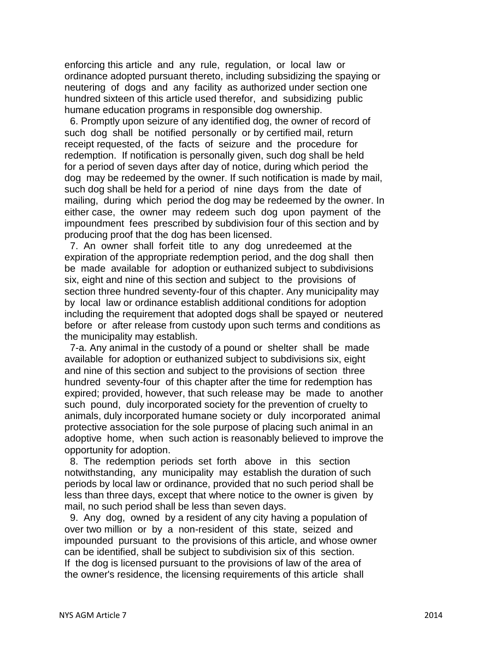enforcing this article and any rule, regulation, or local law or ordinance adopted pursuant thereto, including subsidizing the spaying or neutering of dogs and any facility as authorized under section one hundred sixteen of this article used therefor, and subsidizing public humane education programs in responsible dog ownership.

 6. Promptly upon seizure of any identified dog, the owner of record of such dog shall be notified personally or by certified mail, return receipt requested, of the facts of seizure and the procedure for redemption. If notification is personally given, such dog shall be held for a period of seven days after day of notice, during which period the dog may be redeemed by the owner. If such notification is made by mail, such dog shall be held for a period of nine days from the date of mailing, during which period the dog may be redeemed by the owner. In either case, the owner may redeem such dog upon payment of the impoundment fees prescribed by subdivision four of this section and by producing proof that the dog has been licensed.

 7. An owner shall forfeit title to any dog unredeemed at the expiration of the appropriate redemption period, and the dog shall then be made available for adoption or euthanized subject to subdivisions six, eight and nine of this section and subject to the provisions of section three hundred seventy-four of this chapter. Any municipality may by local law or ordinance establish additional conditions for adoption including the requirement that adopted dogs shall be spayed or neutered before or after release from custody upon such terms and conditions as the municipality may establish.

 7-a. Any animal in the custody of a pound or shelter shall be made available for adoption or euthanized subject to subdivisions six, eight and nine of this section and subject to the provisions of section three hundred seventy-four of this chapter after the time for redemption has expired; provided, however, that such release may be made to another such pound, duly incorporated society for the prevention of cruelty to animals, duly incorporated humane society or duly incorporated animal protective association for the sole purpose of placing such animal in an adoptive home, when such action is reasonably believed to improve the opportunity for adoption.

 8. The redemption periods set forth above in this section notwithstanding, any municipality may establish the duration of such periods by local law or ordinance, provided that no such period shall be less than three days, except that where notice to the owner is given by mail, no such period shall be less than seven days.

 9. Any dog, owned by a resident of any city having a population of over two million or by a non-resident of this state, seized and impounded pursuant to the provisions of this article, and whose owner can be identified, shall be subject to subdivision six of this section. If the dog is licensed pursuant to the provisions of law of the area of the owner's residence, the licensing requirements of this article shall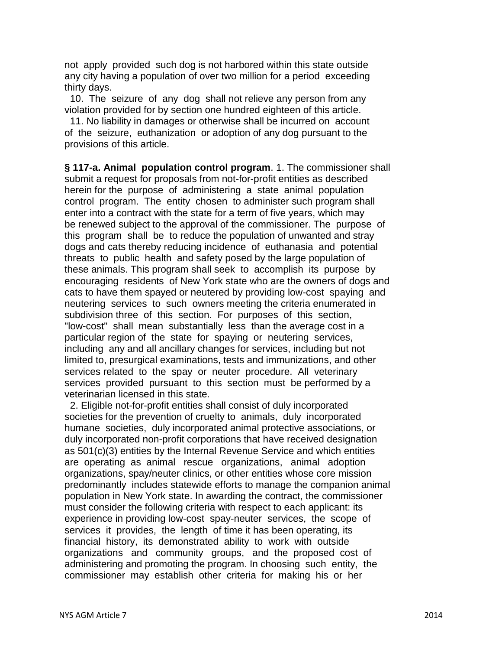not apply provided such dog is not harbored within this state outside any city having a population of over two million for a period exceeding thirty days.

 10. The seizure of any dog shall not relieve any person from any violation provided for by section one hundred eighteen of this article.

 11. No liability in damages or otherwise shall be incurred on account of the seizure, euthanization or adoption of any dog pursuant to the provisions of this article.

 **§ 117-a. Animal population control program**. 1. The commissioner shall submit a request for proposals from not-for-profit entities as described herein for the purpose of administering a state animal population control program. The entity chosen to administer such program shall enter into a contract with the state for a term of five years, which may be renewed subject to the approval of the commissioner. The purpose of this program shall be to reduce the population of unwanted and stray dogs and cats thereby reducing incidence of euthanasia and potential threats to public health and safety posed by the large population of these animals. This program shall seek to accomplish its purpose by encouraging residents of New York state who are the owners of dogs and cats to have them spayed or neutered by providing low-cost spaying and neutering services to such owners meeting the criteria enumerated in subdivision three of this section. For purposes of this section, "low-cost" shall mean substantially less than the average cost in a particular region of the state for spaying or neutering services, including any and all ancillary changes for services, including but not limited to, presurgical examinations, tests and immunizations, and other services related to the spay or neuter procedure. All veterinary services provided pursuant to this section must be performed by a veterinarian licensed in this state.

 2. Eligible not-for-profit entities shall consist of duly incorporated societies for the prevention of cruelty to animals, duly incorporated humane societies, duly incorporated animal protective associations, or duly incorporated non-profit corporations that have received designation as 501(c)(3) entities by the Internal Revenue Service and which entities are operating as animal rescue organizations, animal adoption organizations, spay/neuter clinics, or other entities whose core mission predominantly includes statewide efforts to manage the companion animal population in New York state. In awarding the contract, the commissioner must consider the following criteria with respect to each applicant: its experience in providing low-cost spay-neuter services, the scope of services it provides, the length of time it has been operating, its financial history, its demonstrated ability to work with outside organizations and community groups, and the proposed cost of administering and promoting the program. In choosing such entity, the commissioner may establish other criteria for making his or her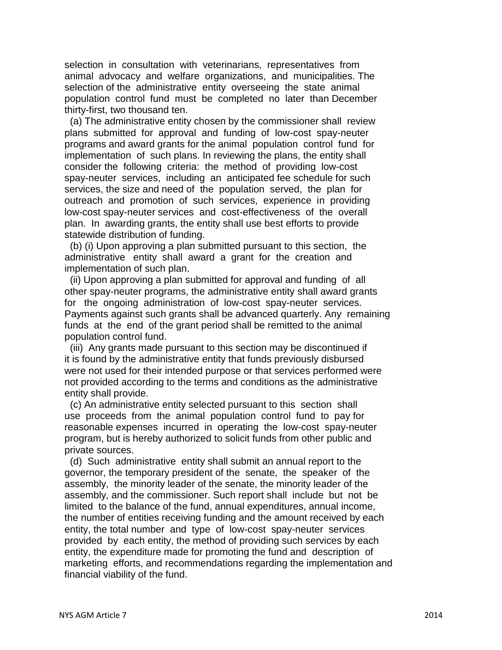selection in consultation with veterinarians, representatives from animal advocacy and welfare organizations, and municipalities. The selection of the administrative entity overseeing the state animal population control fund must be completed no later than December thirty-first, two thousand ten.

 (a) The administrative entity chosen by the commissioner shall review plans submitted for approval and funding of low-cost spay-neuter programs and award grants for the animal population control fund for implementation of such plans. In reviewing the plans, the entity shall consider the following criteria: the method of providing low-cost spay-neuter services, including an anticipated fee schedule for such services, the size and need of the population served, the plan for outreach and promotion of such services, experience in providing low-cost spay-neuter services and cost-effectiveness of the overall plan. In awarding grants, the entity shall use best efforts to provide statewide distribution of funding.

 (b) (i) Upon approving a plan submitted pursuant to this section, the administrative entity shall award a grant for the creation and implementation of such plan.

 (ii) Upon approving a plan submitted for approval and funding of all other spay-neuter programs, the administrative entity shall award grants for the ongoing administration of low-cost spay-neuter services. Payments against such grants shall be advanced quarterly. Any remaining funds at the end of the grant period shall be remitted to the animal population control fund.

 (iii) Any grants made pursuant to this section may be discontinued if it is found by the administrative entity that funds previously disbursed were not used for their intended purpose or that services performed were not provided according to the terms and conditions as the administrative entity shall provide.

 (c) An administrative entity selected pursuant to this section shall use proceeds from the animal population control fund to pay for reasonable expenses incurred in operating the low-cost spay-neuter program, but is hereby authorized to solicit funds from other public and private sources.

 (d) Such administrative entity shall submit an annual report to the governor, the temporary president of the senate, the speaker of the assembly, the minority leader of the senate, the minority leader of the assembly, and the commissioner. Such report shall include but not be limited to the balance of the fund, annual expenditures, annual income, the number of entities receiving funding and the amount received by each entity, the total number and type of low-cost spay-neuter services provided by each entity, the method of providing such services by each entity, the expenditure made for promoting the fund and description of marketing efforts, and recommendations regarding the implementation and financial viability of the fund.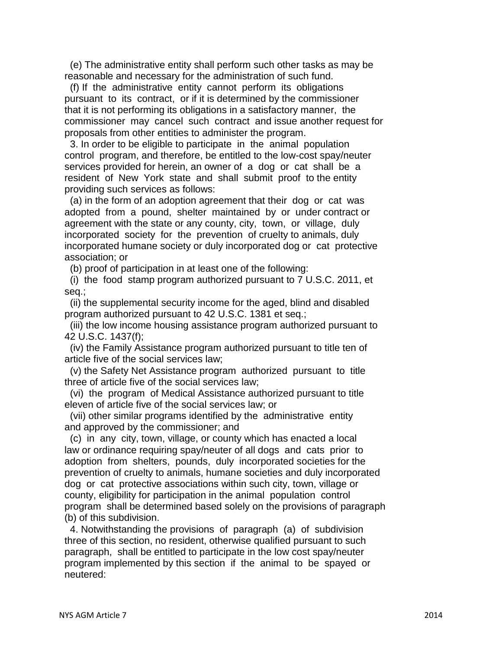(e) The administrative entity shall perform such other tasks as may be reasonable and necessary for the administration of such fund.

 (f) If the administrative entity cannot perform its obligations pursuant to its contract, or if it is determined by the commissioner that it is not performing its obligations in a satisfactory manner, the commissioner may cancel such contract and issue another request for proposals from other entities to administer the program.

 3. In order to be eligible to participate in the animal population control program, and therefore, be entitled to the low-cost spay/neuter services provided for herein, an owner of a dog or cat shall be a resident of New York state and shall submit proof to the entity providing such services as follows:

 (a) in the form of an adoption agreement that their dog or cat was adopted from a pound, shelter maintained by or under contract or agreement with the state or any county, city, town, or village, duly incorporated society for the prevention of cruelty to animals, duly incorporated humane society or duly incorporated dog or cat protective association; or

(b) proof of participation in at least one of the following:

 (i) the food stamp program authorized pursuant to 7 U.S.C. 2011, et seq.;

 (ii) the supplemental security income for the aged, blind and disabled program authorized pursuant to 42 U.S.C. 1381 et seq.;

 (iii) the low income housing assistance program authorized pursuant to 42 U.S.C. 1437(f);

 (iv) the Family Assistance program authorized pursuant to title ten of article five of the social services law;

 (v) the Safety Net Assistance program authorized pursuant to title three of article five of the social services law;

 (vi) the program of Medical Assistance authorized pursuant to title eleven of article five of the social services law; or

 (vii) other similar programs identified by the administrative entity and approved by the commissioner; and

 (c) in any city, town, village, or county which has enacted a local law or ordinance requiring spay/neuter of all dogs and cats prior to adoption from shelters, pounds, duly incorporated societies for the prevention of cruelty to animals, humane societies and duly incorporated dog or cat protective associations within such city, town, village or county, eligibility for participation in the animal population control program shall be determined based solely on the provisions of paragraph (b) of this subdivision.

 4. Notwithstanding the provisions of paragraph (a) of subdivision three of this section, no resident, otherwise qualified pursuant to such paragraph, shall be entitled to participate in the low cost spay/neuter program implemented by this section if the animal to be spayed or neutered: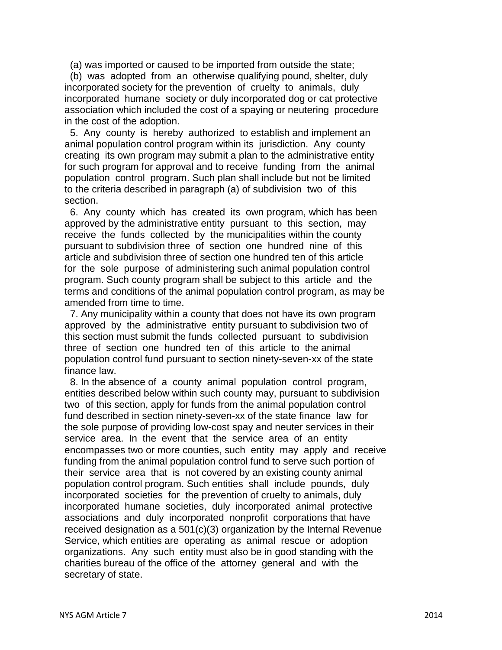(a) was imported or caused to be imported from outside the state;

 (b) was adopted from an otherwise qualifying pound, shelter, duly incorporated society for the prevention of cruelty to animals, duly incorporated humane society or duly incorporated dog or cat protective association which included the cost of a spaying or neutering procedure in the cost of the adoption.

 5. Any county is hereby authorized to establish and implement an animal population control program within its jurisdiction. Any county creating its own program may submit a plan to the administrative entity for such program for approval and to receive funding from the animal population control program. Such plan shall include but not be limited to the criteria described in paragraph (a) of subdivision two of this section.

 6. Any county which has created its own program, which has been approved by the administrative entity pursuant to this section, may receive the funds collected by the municipalities within the county pursuant to subdivision three of section one hundred nine of this article and subdivision three of section one hundred ten of this article for the sole purpose of administering such animal population control program. Such county program shall be subject to this article and the terms and conditions of the animal population control program, as may be amended from time to time.

 7. Any municipality within a county that does not have its own program approved by the administrative entity pursuant to subdivision two of this section must submit the funds collected pursuant to subdivision three of section one hundred ten of this article to the animal population control fund pursuant to section ninety-seven-xx of the state finance law.

 8. In the absence of a county animal population control program, entities described below within such county may, pursuant to subdivision two of this section, apply for funds from the animal population control fund described in section ninety-seven-xx of the state finance law for the sole purpose of providing low-cost spay and neuter services in their service area. In the event that the service area of an entity encompasses two or more counties, such entity may apply and receive funding from the animal population control fund to serve such portion of their service area that is not covered by an existing county animal population control program. Such entities shall include pounds, duly incorporated societies for the prevention of cruelty to animals, duly incorporated humane societies, duly incorporated animal protective associations and duly incorporated nonprofit corporations that have received designation as a 501(c)(3) organization by the Internal Revenue Service, which entities are operating as animal rescue or adoption organizations. Any such entity must also be in good standing with the charities bureau of the office of the attorney general and with the secretary of state.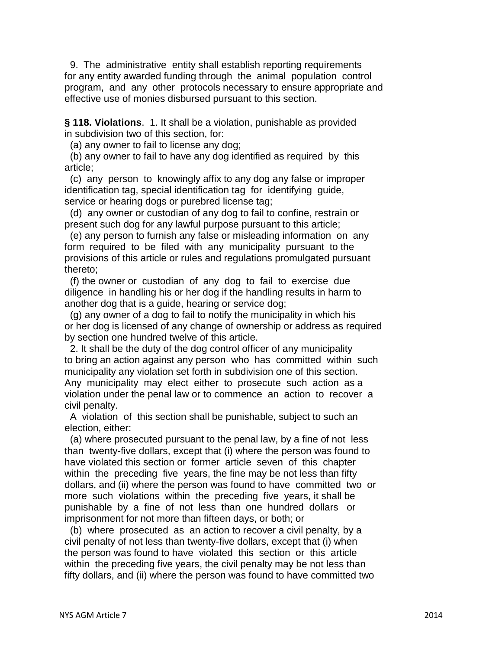9. The administrative entity shall establish reporting requirements for any entity awarded funding through the animal population control program, and any other protocols necessary to ensure appropriate and effective use of monies disbursed pursuant to this section.

 **§ 118. Violations**. 1. It shall be a violation, punishable as provided in subdivision two of this section, for:

(a) any owner to fail to license any dog;

 (b) any owner to fail to have any dog identified as required by this article;

 (c) any person to knowingly affix to any dog any false or improper identification tag, special identification tag for identifying guide, service or hearing dogs or purebred license tag;

 (d) any owner or custodian of any dog to fail to confine, restrain or present such dog for any lawful purpose pursuant to this article;

 (e) any person to furnish any false or misleading information on any form required to be filed with any municipality pursuant to the provisions of this article or rules and regulations promulgated pursuant thereto;

 (f) the owner or custodian of any dog to fail to exercise due diligence in handling his or her dog if the handling results in harm to another dog that is a guide, hearing or service dog;

 (g) any owner of a dog to fail to notify the municipality in which his or her dog is licensed of any change of ownership or address as required by section one hundred twelve of this article.

 2. It shall be the duty of the dog control officer of any municipality to bring an action against any person who has committed within such municipality any violation set forth in subdivision one of this section. Any municipality may elect either to prosecute such action as a violation under the penal law or to commence an action to recover a civil penalty.

 A violation of this section shall be punishable, subject to such an election, either:

 (a) where prosecuted pursuant to the penal law, by a fine of not less than twenty-five dollars, except that (i) where the person was found to have violated this section or former article seven of this chapter within the preceding five years, the fine may be not less than fifty dollars, and (ii) where the person was found to have committed two or more such violations within the preceding five years, it shall be punishable by a fine of not less than one hundred dollars or imprisonment for not more than fifteen days, or both; or

 (b) where prosecuted as an action to recover a civil penalty, by a civil penalty of not less than twenty-five dollars, except that (i) when the person was found to have violated this section or this article within the preceding five years, the civil penalty may be not less than fifty dollars, and (ii) where the person was found to have committed two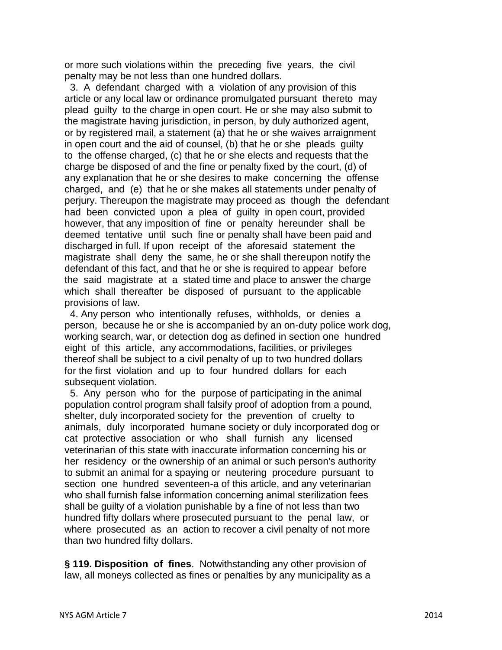or more such violations within the preceding five years, the civil penalty may be not less than one hundred dollars.

 3. A defendant charged with a violation of any provision of this article or any local law or ordinance promulgated pursuant thereto may plead guilty to the charge in open court. He or she may also submit to the magistrate having jurisdiction, in person, by duly authorized agent, or by registered mail, a statement (a) that he or she waives arraignment in open court and the aid of counsel, (b) that he or she pleads guilty to the offense charged, (c) that he or she elects and requests that the charge be disposed of and the fine or penalty fixed by the court, (d) of any explanation that he or she desires to make concerning the offense charged, and (e) that he or she makes all statements under penalty of perjury. Thereupon the magistrate may proceed as though the defendant had been convicted upon a plea of guilty in open court, provided however, that any imposition of fine or penalty hereunder shall be deemed tentative until such fine or penalty shall have been paid and discharged in full. If upon receipt of the aforesaid statement the magistrate shall deny the same, he or she shall thereupon notify the defendant of this fact, and that he or she is required to appear before the said magistrate at a stated time and place to answer the charge which shall thereafter be disposed of pursuant to the applicable provisions of law.

 4. Any person who intentionally refuses, withholds, or denies a person, because he or she is accompanied by an on-duty police work dog, working search, war, or detection dog as defined in section one hundred eight of this article, any accommodations, facilities, or privileges thereof shall be subject to a civil penalty of up to two hundred dollars for the first violation and up to four hundred dollars for each subsequent violation.

 5. Any person who for the purpose of participating in the animal population control program shall falsify proof of adoption from a pound, shelter, duly incorporated society for the prevention of cruelty to animals, duly incorporated humane society or duly incorporated dog or cat protective association or who shall furnish any licensed veterinarian of this state with inaccurate information concerning his or her residency or the ownership of an animal or such person's authority to submit an animal for a spaying or neutering procedure pursuant to section one hundred seventeen-a of this article, and any veterinarian who shall furnish false information concerning animal sterilization fees shall be guilty of a violation punishable by a fine of not less than two hundred fifty dollars where prosecuted pursuant to the penal law, or where prosecuted as an action to recover a civil penalty of not more than two hundred fifty dollars.

 **§ 119. Disposition of fines**. Notwithstanding any other provision of law, all moneys collected as fines or penalties by any municipality as a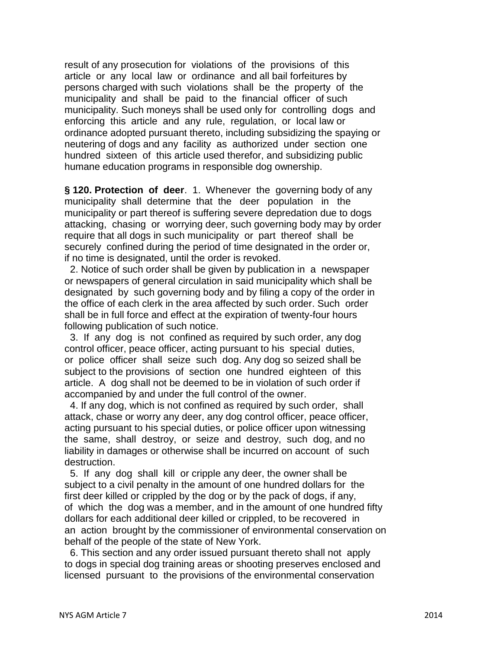result of any prosecution for violations of the provisions of this article or any local law or ordinance and all bail forfeitures by persons charged with such violations shall be the property of the municipality and shall be paid to the financial officer of such municipality. Such moneys shall be used only for controlling dogs and enforcing this article and any rule, regulation, or local law or ordinance adopted pursuant thereto, including subsidizing the spaying or neutering of dogs and any facility as authorized under section one hundred sixteen of this article used therefor, and subsidizing public humane education programs in responsible dog ownership.

 **§ 120. Protection of deer**. 1. Whenever the governing body of any municipality shall determine that the deer population in the municipality or part thereof is suffering severe depredation due to dogs attacking, chasing or worrying deer, such governing body may by order require that all dogs in such municipality or part thereof shall be securely confined during the period of time designated in the order or, if no time is designated, until the order is revoked.

 2. Notice of such order shall be given by publication in a newspaper or newspapers of general circulation in said municipality which shall be designated by such governing body and by filing a copy of the order in the office of each clerk in the area affected by such order. Such order shall be in full force and effect at the expiration of twenty-four hours following publication of such notice.

 3. If any dog is not confined as required by such order, any dog control officer, peace officer, acting pursuant to his special duties, or police officer shall seize such dog. Any dog so seized shall be subject to the provisions of section one hundred eighteen of this article. A dog shall not be deemed to be in violation of such order if accompanied by and under the full control of the owner.

 4. If any dog, which is not confined as required by such order, shall attack, chase or worry any deer, any dog control officer, peace officer, acting pursuant to his special duties, or police officer upon witnessing the same, shall destroy, or seize and destroy, such dog, and no liability in damages or otherwise shall be incurred on account of such destruction.

 5. If any dog shall kill or cripple any deer, the owner shall be subject to a civil penalty in the amount of one hundred dollars for the first deer killed or crippled by the dog or by the pack of dogs, if any, of which the dog was a member, and in the amount of one hundred fifty dollars for each additional deer killed or crippled, to be recovered in an action brought by the commissioner of environmental conservation on behalf of the people of the state of New York.

 6. This section and any order issued pursuant thereto shall not apply to dogs in special dog training areas or shooting preserves enclosed and licensed pursuant to the provisions of the environmental conservation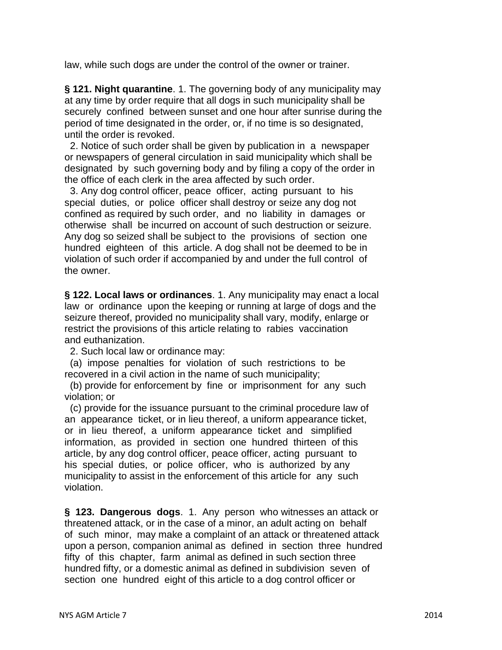law, while such dogs are under the control of the owner or trainer.

 **§ 121. Night quarantine**. 1. The governing body of any municipality may at any time by order require that all dogs in such municipality shall be securely confined between sunset and one hour after sunrise during the period of time designated in the order, or, if no time is so designated, until the order is revoked.

 2. Notice of such order shall be given by publication in a newspaper or newspapers of general circulation in said municipality which shall be designated by such governing body and by filing a copy of the order in the office of each clerk in the area affected by such order.

 3. Any dog control officer, peace officer, acting pursuant to his special duties, or police officer shall destroy or seize any dog not confined as required by such order, and no liability in damages or otherwise shall be incurred on account of such destruction or seizure. Any dog so seized shall be subject to the provisions of section one hundred eighteen of this article. A dog shall not be deemed to be in violation of such order if accompanied by and under the full control of the owner.

 **§ 122. Local laws or ordinances**. 1. Any municipality may enact a local law or ordinance upon the keeping or running at large of dogs and the seizure thereof, provided no municipality shall vary, modify, enlarge or restrict the provisions of this article relating to rabies vaccination and euthanization.

2. Such local law or ordinance may:

 (a) impose penalties for violation of such restrictions to be recovered in a civil action in the name of such municipality;

 (b) provide for enforcement by fine or imprisonment for any such violation; or

 (c) provide for the issuance pursuant to the criminal procedure law of an appearance ticket, or in lieu thereof, a uniform appearance ticket, or in lieu thereof, a uniform appearance ticket and simplified information, as provided in section one hundred thirteen of this article, by any dog control officer, peace officer, acting pursuant to his special duties, or police officer, who is authorized by any municipality to assist in the enforcement of this article for any such violation.

 **§ 123. Dangerous dogs**. 1. Any person who witnesses an attack or threatened attack, or in the case of a minor, an adult acting on behalf of such minor, may make a complaint of an attack or threatened attack upon a person, companion animal as defined in section three hundred fifty of this chapter, farm animal as defined in such section three hundred fifty, or a domestic animal as defined in subdivision seven of section one hundred eight of this article to a dog control officer or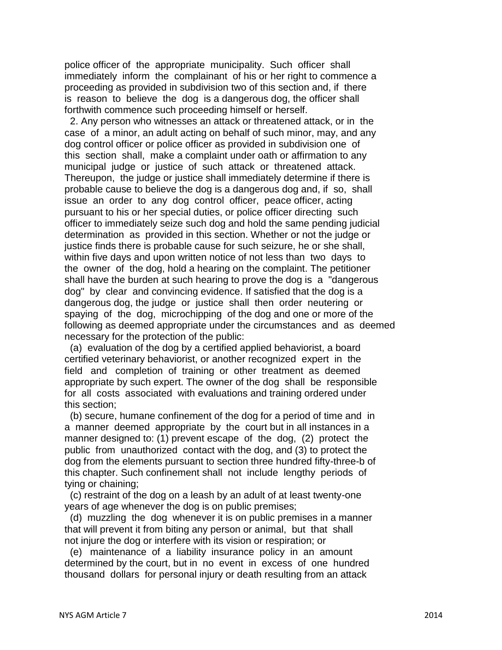police officer of the appropriate municipality. Such officer shall immediately inform the complainant of his or her right to commence a proceeding as provided in subdivision two of this section and, if there is reason to believe the dog is a dangerous dog, the officer shall forthwith commence such proceeding himself or herself.

 2. Any person who witnesses an attack or threatened attack, or in the case of a minor, an adult acting on behalf of such minor, may, and any dog control officer or police officer as provided in subdivision one of this section shall, make a complaint under oath or affirmation to any municipal judge or justice of such attack or threatened attack. Thereupon, the judge or justice shall immediately determine if there is probable cause to believe the dog is a dangerous dog and, if so, shall issue an order to any dog control officer, peace officer, acting pursuant to his or her special duties, or police officer directing such officer to immediately seize such dog and hold the same pending judicial determination as provided in this section. Whether or not the judge or justice finds there is probable cause for such seizure, he or she shall, within five days and upon written notice of not less than two days to the owner of the dog, hold a hearing on the complaint. The petitioner shall have the burden at such hearing to prove the dog is a "dangerous dog" by clear and convincing evidence. If satisfied that the dog is a dangerous dog, the judge or justice shall then order neutering or spaying of the dog, microchipping of the dog and one or more of the following as deemed appropriate under the circumstances and as deemed necessary for the protection of the public:

 (a) evaluation of the dog by a certified applied behaviorist, a board certified veterinary behaviorist, or another recognized expert in the field and completion of training or other treatment as deemed appropriate by such expert. The owner of the dog shall be responsible for all costs associated with evaluations and training ordered under this section;

 (b) secure, humane confinement of the dog for a period of time and in a manner deemed appropriate by the court but in all instances in a manner designed to: (1) prevent escape of the dog, (2) protect the public from unauthorized contact with the dog, and (3) to protect the dog from the elements pursuant to section three hundred fifty-three-b of this chapter. Such confinement shall not include lengthy periods of tying or chaining;

 (c) restraint of the dog on a leash by an adult of at least twenty-one years of age whenever the dog is on public premises;

 (d) muzzling the dog whenever it is on public premises in a manner that will prevent it from biting any person or animal, but that shall not injure the dog or interfere with its vision or respiration; or

 (e) maintenance of a liability insurance policy in an amount determined by the court, but in no event in excess of one hundred thousand dollars for personal injury or death resulting from an attack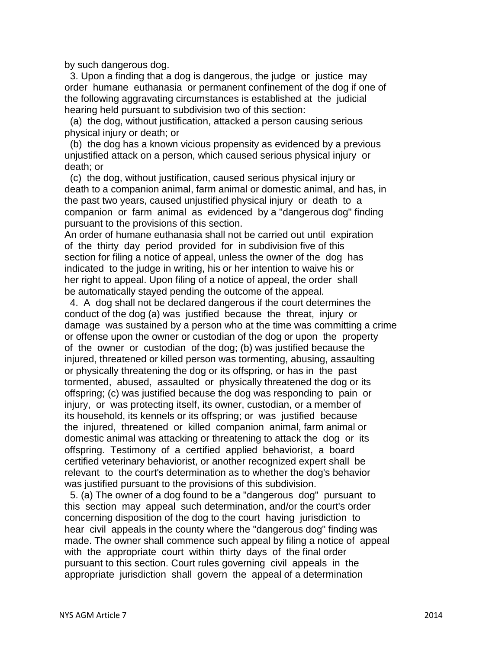by such dangerous dog.

 3. Upon a finding that a dog is dangerous, the judge or justice may order humane euthanasia or permanent confinement of the dog if one of the following aggravating circumstances is established at the judicial hearing held pursuant to subdivision two of this section:

 (a) the dog, without justification, attacked a person causing serious physical injury or death; or

 (b) the dog has a known vicious propensity as evidenced by a previous unjustified attack on a person, which caused serious physical injury or death; or

 (c) the dog, without justification, caused serious physical injury or death to a companion animal, farm animal or domestic animal, and has, in the past two years, caused unjustified physical injury or death to a companion or farm animal as evidenced by a "dangerous dog" finding pursuant to the provisions of this section.

 An order of humane euthanasia shall not be carried out until expiration of the thirty day period provided for in subdivision five of this section for filing a notice of appeal, unless the owner of the dog has indicated to the judge in writing, his or her intention to waive his or her right to appeal. Upon filing of a notice of appeal, the order shall be automatically stayed pending the outcome of the appeal.

 4. A dog shall not be declared dangerous if the court determines the conduct of the dog (a) was justified because the threat, injury or damage was sustained by a person who at the time was committing a crime or offense upon the owner or custodian of the dog or upon the property of the owner or custodian of the dog; (b) was justified because the injured, threatened or killed person was tormenting, abusing, assaulting or physically threatening the dog or its offspring, or has in the past tormented, abused, assaulted or physically threatened the dog or its offspring; (c) was justified because the dog was responding to pain or injury, or was protecting itself, its owner, custodian, or a member of its household, its kennels or its offspring; or was justified because the injured, threatened or killed companion animal, farm animal or domestic animal was attacking or threatening to attack the dog or its offspring. Testimony of a certified applied behaviorist, a board certified veterinary behaviorist, or another recognized expert shall be relevant to the court's determination as to whether the dog's behavior was justified pursuant to the provisions of this subdivision.

 5. (a) The owner of a dog found to be a "dangerous dog" pursuant to this section may appeal such determination, and/or the court's order concerning disposition of the dog to the court having jurisdiction to hear civil appeals in the county where the "dangerous dog" finding was made. The owner shall commence such appeal by filing a notice of appeal with the appropriate court within thirty days of the final order pursuant to this section. Court rules governing civil appeals in the appropriate jurisdiction shall govern the appeal of a determination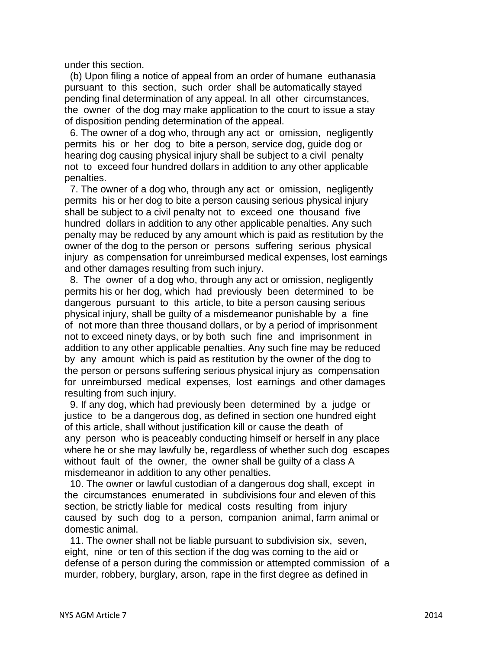under this section.

 (b) Upon filing a notice of appeal from an order of humane euthanasia pursuant to this section, such order shall be automatically stayed pending final determination of any appeal. In all other circumstances, the owner of the dog may make application to the court to issue a stay of disposition pending determination of the appeal.

 6. The owner of a dog who, through any act or omission, negligently permits his or her dog to bite a person, service dog, guide dog or hearing dog causing physical injury shall be subject to a civil penalty not to exceed four hundred dollars in addition to any other applicable penalties.

 7. The owner of a dog who, through any act or omission, negligently permits his or her dog to bite a person causing serious physical injury shall be subject to a civil penalty not to exceed one thousand five hundred dollars in addition to any other applicable penalties. Any such penalty may be reduced by any amount which is paid as restitution by the owner of the dog to the person or persons suffering serious physical injury as compensation for unreimbursed medical expenses, lost earnings and other damages resulting from such injury.

 8. The owner of a dog who, through any act or omission, negligently permits his or her dog, which had previously been determined to be dangerous pursuant to this article, to bite a person causing serious physical injury, shall be guilty of a misdemeanor punishable by a fine of not more than three thousand dollars, or by a period of imprisonment not to exceed ninety days, or by both such fine and imprisonment in addition to any other applicable penalties. Any such fine may be reduced by any amount which is paid as restitution by the owner of the dog to the person or persons suffering serious physical injury as compensation for unreimbursed medical expenses, lost earnings and other damages resulting from such injury.

 9. If any dog, which had previously been determined by a judge or justice to be a dangerous dog, as defined in section one hundred eight of this article, shall without justification kill or cause the death of any person who is peaceably conducting himself or herself in any place where he or she may lawfully be, regardless of whether such dog escapes without fault of the owner, the owner shall be guilty of a class A misdemeanor in addition to any other penalties.

 10. The owner or lawful custodian of a dangerous dog shall, except in the circumstances enumerated in subdivisions four and eleven of this section, be strictly liable for medical costs resulting from injury caused by such dog to a person, companion animal, farm animal or domestic animal.

 11. The owner shall not be liable pursuant to subdivision six, seven, eight, nine or ten of this section if the dog was coming to the aid or defense of a person during the commission or attempted commission of a murder, robbery, burglary, arson, rape in the first degree as defined in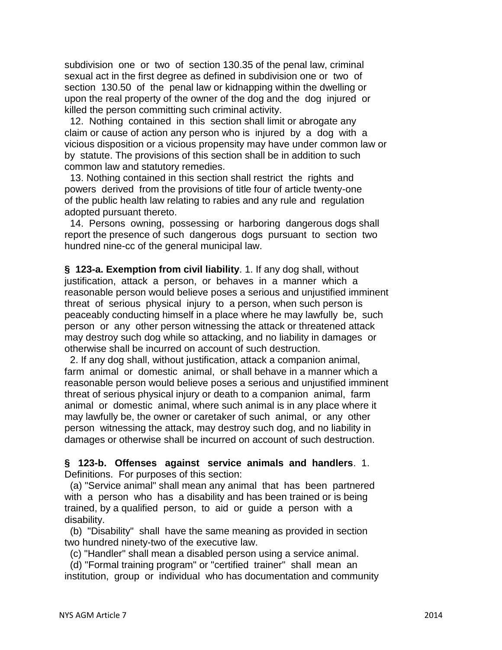subdivision one or two of section 130.35 of the penal law, criminal sexual act in the first degree as defined in subdivision one or two of section 130.50 of the penal law or kidnapping within the dwelling or upon the real property of the owner of the dog and the dog injured or killed the person committing such criminal activity.

 12. Nothing contained in this section shall limit or abrogate any claim or cause of action any person who is injured by a dog with a vicious disposition or a vicious propensity may have under common law or by statute. The provisions of this section shall be in addition to such common law and statutory remedies.

 13. Nothing contained in this section shall restrict the rights and powers derived from the provisions of title four of article twenty-one of the public health law relating to rabies and any rule and regulation adopted pursuant thereto.

 14. Persons owning, possessing or harboring dangerous dogs shall report the presence of such dangerous dogs pursuant to section two hundred nine-cc of the general municipal law.

 **§ 123-a. Exemption from civil liability**. 1. If any dog shall, without justification, attack a person, or behaves in a manner which a reasonable person would believe poses a serious and unjustified imminent threat of serious physical injury to a person, when such person is peaceably conducting himself in a place where he may lawfully be, such person or any other person witnessing the attack or threatened attack may destroy such dog while so attacking, and no liability in damages or otherwise shall be incurred on account of such destruction.

 2. If any dog shall, without justification, attack a companion animal, farm animal or domestic animal, or shall behave in a manner which a reasonable person would believe poses a serious and unjustified imminent threat of serious physical injury or death to a companion animal, farm animal or domestic animal, where such animal is in any place where it may lawfully be, the owner or caretaker of such animal, or any other person witnessing the attack, may destroy such dog, and no liability in damages or otherwise shall be incurred on account of such destruction.

 **§ 123-b. Offenses against service animals and handlers**. 1. Definitions. For purposes of this section:

 (a) "Service animal" shall mean any animal that has been partnered with a person who has a disability and has been trained or is being trained, by a qualified person, to aid or guide a person with a disability.

 (b) "Disability" shall have the same meaning as provided in section two hundred ninety-two of the executive law.

(c) "Handler" shall mean a disabled person using a service animal.

 (d) "Formal training program" or "certified trainer" shall mean an institution, group or individual who has documentation and community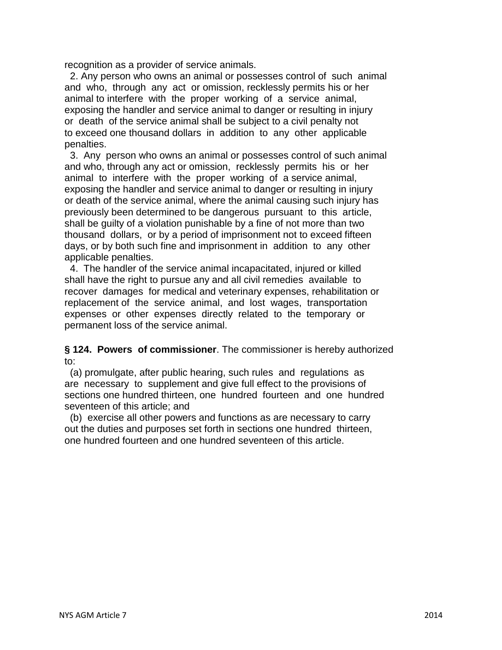recognition as a provider of service animals.

 2. Any person who owns an animal or possesses control of such animal and who, through any act or omission, recklessly permits his or her animal to interfere with the proper working of a service animal, exposing the handler and service animal to danger or resulting in injury or death of the service animal shall be subject to a civil penalty not to exceed one thousand dollars in addition to any other applicable penalties.

 3. Any person who owns an animal or possesses control of such animal and who, through any act or omission, recklessly permits his or her animal to interfere with the proper working of a service animal, exposing the handler and service animal to danger or resulting in injury or death of the service animal, where the animal causing such injury has previously been determined to be dangerous pursuant to this article, shall be guilty of a violation punishable by a fine of not more than two thousand dollars, or by a period of imprisonment not to exceed fifteen days, or by both such fine and imprisonment in addition to any other applicable penalties.

 4. The handler of the service animal incapacitated, injured or killed shall have the right to pursue any and all civil remedies available to recover damages for medical and veterinary expenses, rehabilitation or replacement of the service animal, and lost wages, transportation expenses or other expenses directly related to the temporary or permanent loss of the service animal.

#### **§ 124. Powers of commissioner**. The commissioner is hereby authorized to:

 (a) promulgate, after public hearing, such rules and regulations as are necessary to supplement and give full effect to the provisions of sections one hundred thirteen, one hundred fourteen and one hundred seventeen of this article; and

 (b) exercise all other powers and functions as are necessary to carry out the duties and purposes set forth in sections one hundred thirteen, one hundred fourteen and one hundred seventeen of this article.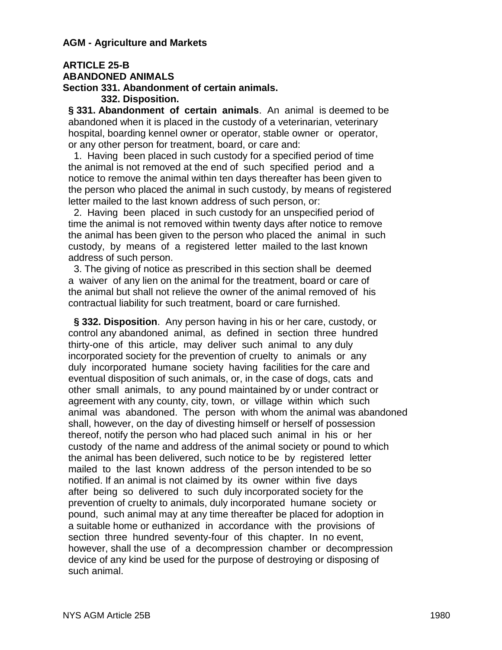#### **ARTICLE 25-B ABANDONED ANIMALS**

**Section 331. Abandonment of certain animals.**

#### **332. Disposition.**

 **§ 331. Abandonment of certain animals**. An animal is deemed to be abandoned when it is placed in the custody of a veterinarian, veterinary hospital, boarding kennel owner or operator, stable owner or operator, or any other person for treatment, board, or care and:

 1. Having been placed in such custody for a specified period of time the animal is not removed at the end of such specified period and a notice to remove the animal within ten days thereafter has been given to the person who placed the animal in such custody, by means of registered letter mailed to the last known address of such person, or:

 2. Having been placed in such custody for an unspecified period of time the animal is not removed within twenty days after notice to remove the animal has been given to the person who placed the animal in such custody, by means of a registered letter mailed to the last known address of such person.

 3. The giving of notice as prescribed in this section shall be deemed a waiver of any lien on the animal for the treatment, board or care of the animal but shall not relieve the owner of the animal removed of his contractual liability for such treatment, board or care furnished.

 **§ 332. Disposition**. Any person having in his or her care, custody, or control any abandoned animal, as defined in section three hundred thirty-one of this article, may deliver such animal to any duly incorporated society for the prevention of cruelty to animals or any duly incorporated humane society having facilities for the care and eventual disposition of such animals, or, in the case of dogs, cats and other small animals, to any pound maintained by or under contract or agreement with any county, city, town, or village within which such animal was abandoned. The person with whom the animal was abandoned shall, however, on the day of divesting himself or herself of possession thereof, notify the person who had placed such animal in his or her custody of the name and address of the animal society or pound to which the animal has been delivered, such notice to be by registered letter mailed to the last known address of the person intended to be so notified. If an animal is not claimed by its owner within five days after being so delivered to such duly incorporated society for the prevention of cruelty to animals, duly incorporated humane society or pound, such animal may at any time thereafter be placed for adoption in a suitable home or euthanized in accordance with the provisions of section three hundred seventy-four of this chapter. In no event, however, shall the use of a decompression chamber or decompression device of any kind be used for the purpose of destroying or disposing of such animal.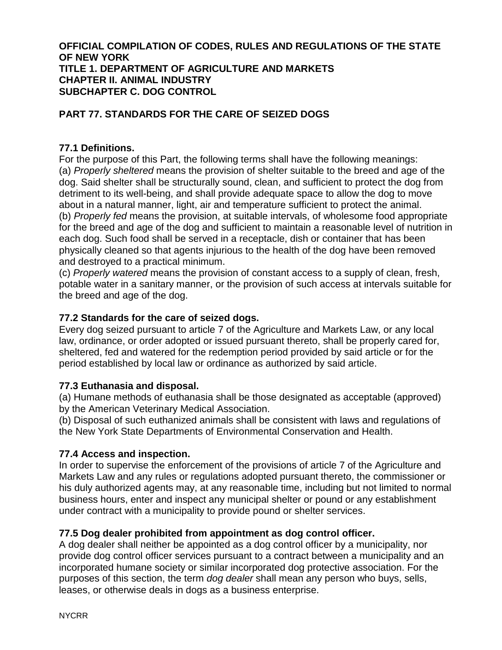#### **OFFICIAL COMPILATION OF CODES, RULES AND REGULATIONS OF THE STATE OF NEW YORK TITLE 1. DEPARTMENT OF AGRICULTURE AND MARKETS CHAPTER II. ANIMAL INDUSTRY SUBCHAPTER C. DOG CONTROL**

#### **PART 77. STANDARDS FOR THE CARE OF SEIZED DOGS**

#### **77.1 Definitions.**

For the purpose of this Part, the following terms shall have the following meanings: (a) *Properly sheltered* means the provision of shelter suitable to the breed and age of the dog. Said shelter shall be structurally sound, clean, and sufficient to protect the dog from detriment to its well-being, and shall provide adequate space to allow the dog to move about in a natural manner, light, air and temperature sufficient to protect the animal. (b) *Properly fed* means the provision, at suitable intervals, of wholesome food appropriate for the breed and age of the dog and sufficient to maintain a reasonable level of nutrition in each dog. Such food shall be served in a receptacle, dish or container that has been physically cleaned so that agents injurious to the health of the dog have been removed and destroyed to a practical minimum.

(c) *Properly watered* means the provision of constant access to a supply of clean, fresh, potable water in a sanitary manner, or the provision of such access at intervals suitable for the breed and age of the dog.

#### **77.2 Standards for the care of seized dogs.**

Every dog seized pursuant to article 7 of the Agriculture and Markets Law, or any local law, ordinance, or order adopted or issued pursuant thereto, shall be properly cared for, sheltered, fed and watered for the redemption period provided by said article or for the period established by local law or ordinance as authorized by said article.

#### **77.3 Euthanasia and disposal.**

(a) Humane methods of euthanasia shall be those designated as acceptable (approved) by the American Veterinary Medical Association.

(b) Disposal of such euthanized animals shall be consistent with laws and regulations of the New York State Departments of Environmental Conservation and Health.

#### **77.4 Access and inspection.**

In order to supervise the enforcement of the provisions of article 7 of the Agriculture and Markets Law and any rules or regulations adopted pursuant thereto, the commissioner or his duly authorized agents may, at any reasonable time, including but not limited to normal business hours, enter and inspect any municipal shelter or pound or any establishment under contract with a municipality to provide pound or shelter services.

#### **77.5 Dog dealer prohibited from appointment as dog control officer.**

A dog dealer shall neither be appointed as a dog control officer by a municipality, nor provide dog control officer services pursuant to a contract between a municipality and an incorporated humane society or similar incorporated dog protective association. For the purposes of this section, the term *dog dealer* shall mean any person who buys, sells, leases, or otherwise deals in dogs as a business enterprise.